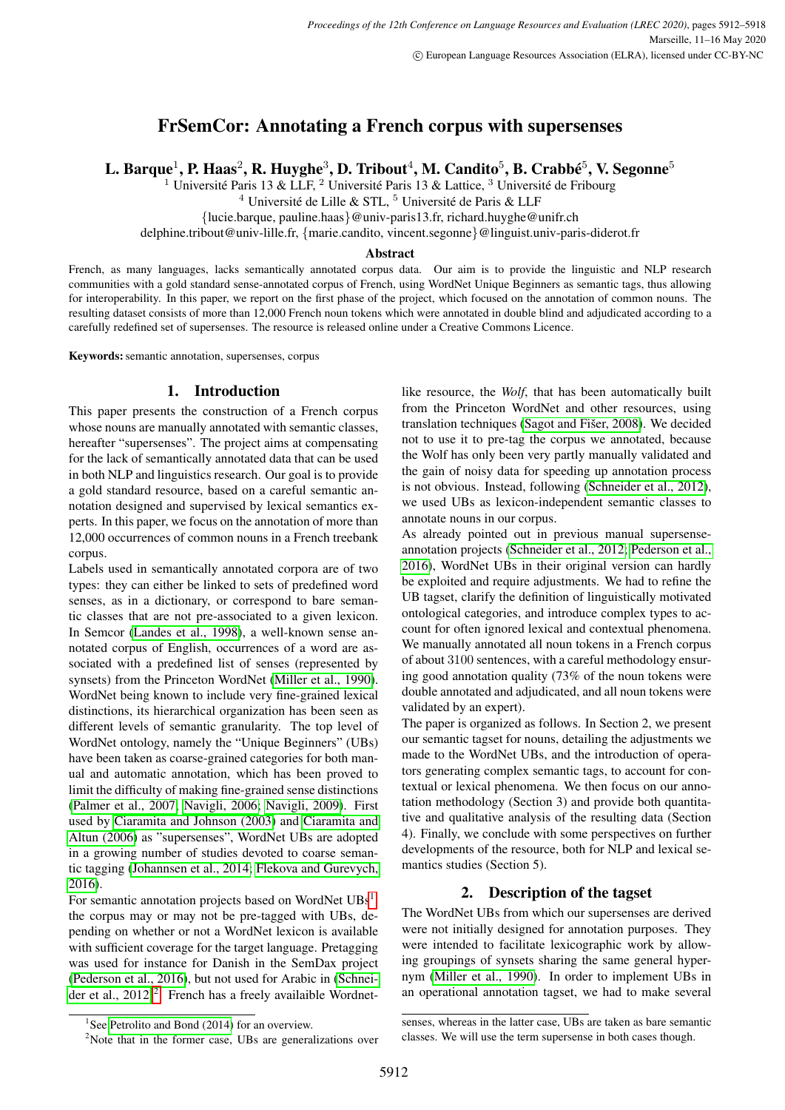# FrSemCor: Annotating a French corpus with supersenses

L. Barque $^1$ , P. Haas $^2$ , R. Huyghe $^3$ , D. Tribout $^4$ , M. Candito $^5$ , B. Crabbé $^5$ , V. Segonne $^5$ 

<sup>1</sup> Université Paris 13 & LLF, <sup>2</sup> Université Paris 13 & Lattice, <sup>3</sup> Université de Fribourg

<sup>4</sup> Université de Lille & STL, <sup>5</sup> Université de Paris & LLF

{lucie.barque, pauline.haas}@univ-paris13.fr, richard.huyghe@unifr.ch

delphine.tribout@univ-lille.fr, {marie.candito, vincent.segonne}@linguist.univ-paris-diderot.fr

#### Abstract

French, as many languages, lacks semantically annotated corpus data. Our aim is to provide the linguistic and NLP research communities with a gold standard sense-annotated corpus of French, using WordNet Unique Beginners as semantic tags, thus allowing for interoperability. In this paper, we report on the first phase of the project, which focused on the annotation of common nouns. The resulting dataset consists of more than 12,000 French noun tokens which were annotated in double blind and adjudicated according to a carefully redefined set of supersenses. The resource is released online under a Creative Commons Licence.

Keywords: semantic annotation, supersenses, corpus

# 1. Introduction

This paper presents the construction of a French corpus whose nouns are manually annotated with semantic classes, hereafter "supersenses". The project aims at compensating for the lack of semantically annotated data that can be used in both NLP and linguistics research. Our goal is to provide a gold standard resource, based on a careful semantic annotation designed and supervised by lexical semantics experts. In this paper, we focus on the annotation of more than 12,000 occurrences of common nouns in a French treebank corpus.

Labels used in semantically annotated corpora are of two types: they can either be linked to sets of predefined word senses, as in a dictionary, or correspond to bare semantic classes that are not pre-associated to a given lexicon. In Semcor [\(Landes et al., 1998\)](#page-6-0), a well-known sense annotated corpus of English, occurrences of a word are associated with a predefined list of senses (represented by synsets) from the Princeton WordNet [\(Miller et al., 1990\)](#page-6-1). WordNet being known to include very fine-grained lexical distinctions, its hierarchical organization has been seen as different levels of semantic granularity. The top level of WordNet ontology, namely the "Unique Beginners" (UBs) have been taken as coarse-grained categories for both manual and automatic annotation, which has been proved to limit the difficulty of making fine-grained sense distinctions [\(Palmer et al., 2007;](#page-6-2) [Navigli, 2006;](#page-6-3) [Navigli, 2009\)](#page-6-4). First used by [Ciaramita and Johnson \(2003\)](#page-5-0) and [Ciaramita and](#page-5-1) [Altun \(2006\)](#page-5-1) as "supersenses", WordNet UBs are adopted in a growing number of studies devoted to coarse semantic tagging [\(Johannsen et al., 2014;](#page-6-5) [Flekova and Gurevych,](#page-5-2) [2016\)](#page-5-2).

For semantic annotation projects based on WordNet UBs<sup>[1](#page-0-0)</sup>, the corpus may or may not be pre-tagged with UBs, depending on whether or not a WordNet lexicon is available with sufficient coverage for the target language. Pretagging was used for instance for Danish in the SemDax project [\(Pederson et al., 2016\)](#page-6-6), but not used for Arabic in [\(Schnei](#page-6-7)[der et al., 2012\)](#page-6-7)<sup>[2](#page-0-1)</sup>. French has a freely availaible Wordnetlike resource, the *Wolf*, that has been automatically built from the Princeton WordNet and other resources, using translation techniques (Sagot and Fišer, 2008). We decided not to use it to pre-tag the corpus we annotated, because the Wolf has only been very partly manually validated and the gain of noisy data for speeding up annotation process is not obvious. Instead, following [\(Schneider et al., 2012\)](#page-6-7), we used UBs as lexicon-independent semantic classes to annotate nouns in our corpus.

As already pointed out in previous manual supersenseannotation projects [\(Schneider et al., 2012;](#page-6-7) [Pederson et al.,](#page-6-6) [2016\)](#page-6-6), WordNet UBs in their original version can hardly be exploited and require adjustments. We had to refine the UB tagset, clarify the definition of linguistically motivated ontological categories, and introduce complex types to account for often ignored lexical and contextual phenomena. We manually annotated all noun tokens in a French corpus of about 3100 sentences, with a careful methodology ensuring good annotation quality (73% of the noun tokens were double annotated and adjudicated, and all noun tokens were validated by an expert).

The paper is organized as follows. In Section 2, we present our semantic tagset for nouns, detailing the adjustments we made to the WordNet UBs, and the introduction of operators generating complex semantic tags, to account for contextual or lexical phenomena. We then focus on our annotation methodology (Section 3) and provide both quantitative and qualitative analysis of the resulting data (Section 4). Finally, we conclude with some perspectives on further developments of the resource, both for NLP and lexical semantics studies (Section 5).

# 2. Description of the tagset

The WordNet UBs from which our supersenses are derived were not initially designed for annotation purposes. They were intended to facilitate lexicographic work by allowing groupings of synsets sharing the same general hypernym [\(Miller et al., 1990\)](#page-6-1). In order to implement UBs in an operational annotation tagset, we had to make several

<span id="page-0-0"></span><sup>&</sup>lt;sup>1</sup>See [Petrolito and Bond \(2014\)](#page-6-8) for an overview.

<span id="page-0-1"></span><sup>&</sup>lt;sup>2</sup>Note that in the former case, UBs are generalizations over

senses, whereas in the latter case, UBs are taken as bare semantic classes. We will use the term supersense in both cases though.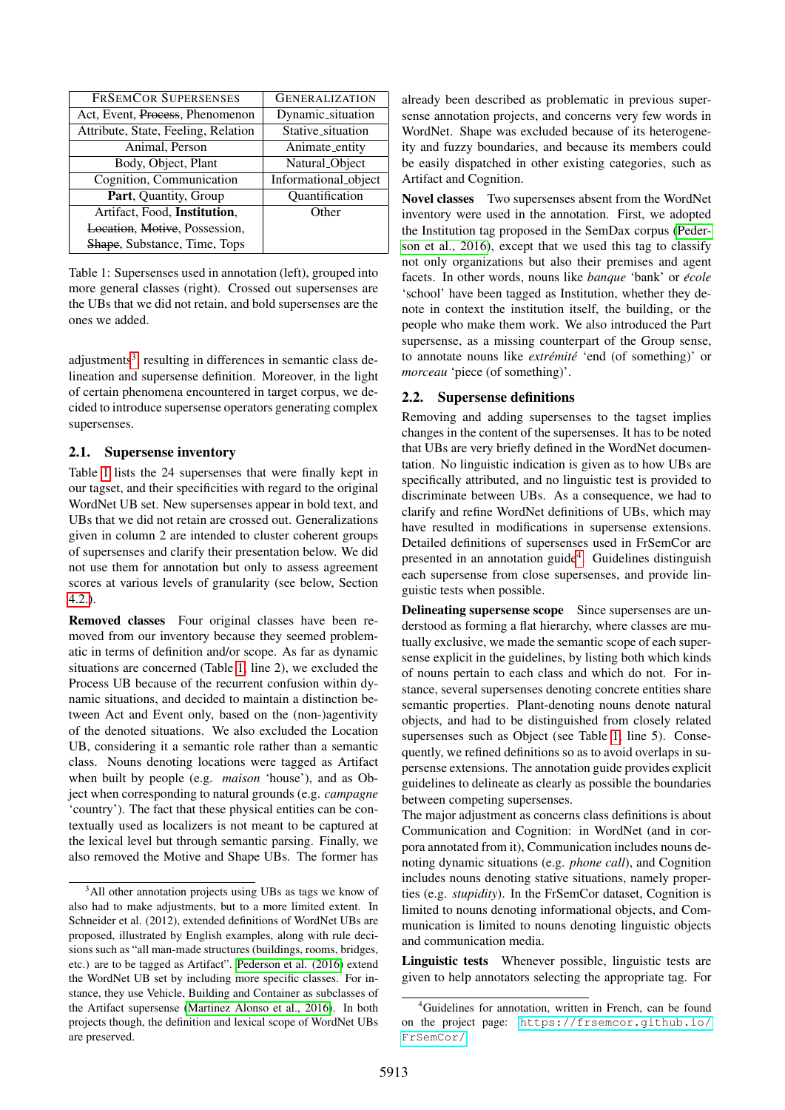| <b>FRSEMCOR SUPERSENSES</b>         | <b>GENERALIZATION</b> |
|-------------------------------------|-----------------------|
| Act, Event, Process, Phenomenon     | Dynamic_situation     |
| Attribute, State, Feeling, Relation | Stative_situation     |
| Animal, Person                      | Animate_entity        |
| Body, Object, Plant                 | Natural_Object        |
| Cognition, Communication            | Informational_object  |
| Part, Quantity, Group               | Quantification        |
| Artifact, Food, Institution,        | Other                 |
| Location, Motive, Possession,       |                       |
| Shape, Substance, Time, Tops        |                       |

<span id="page-1-1"></span>Table 1: Supersenses used in annotation (left), grouped into more general classes (right). Crossed out supersenses are the UBs that we did not retain, and bold supersenses are the ones we added.

adjustments<sup>[3](#page-1-0)</sup>, resulting in differences in semantic class delineation and supersense definition. Moreover, in the light of certain phenomena encountered in target corpus, we decided to introduce supersense operators generating complex supersenses.

# <span id="page-1-3"></span>2.1. Supersense inventory

Table [1](#page-1-1) lists the 24 supersenses that were finally kept in our tagset, and their specificities with regard to the original WordNet UB set. New supersenses appear in bold text, and UBs that we did not retain are crossed out. Generalizations given in column 2 are intended to cluster coherent groups of supersenses and clarify their presentation below. We did not use them for annotation but only to assess agreement scores at various levels of granularity (see below, Section [4.2.\)](#page-4-0).

Removed classes Four original classes have been removed from our inventory because they seemed problematic in terms of definition and/or scope. As far as dynamic situations are concerned (Table [1,](#page-1-1) line 2), we excluded the Process UB because of the recurrent confusion within dynamic situations, and decided to maintain a distinction between Act and Event only, based on the (non-)agentivity of the denoted situations. We also excluded the Location UB, considering it a semantic role rather than a semantic class. Nouns denoting locations were tagged as Artifact when built by people (e.g. *maison* 'house'), and as Object when corresponding to natural grounds (e.g. *campagne* 'country'). The fact that these physical entities can be contextually used as localizers is not meant to be captured at the lexical level but through semantic parsing. Finally, we also removed the Motive and Shape UBs. The former has already been described as problematic in previous supersense annotation projects, and concerns very few words in WordNet. Shape was excluded because of its heterogeneity and fuzzy boundaries, and because its members could be easily dispatched in other existing categories, such as Artifact and Cognition.

Novel classes Two supersenses absent from the WordNet inventory were used in the annotation. First, we adopted the Institution tag proposed in the SemDax corpus [\(Peder](#page-6-6)[son et al., 2016\)](#page-6-6), except that we used this tag to classify not only organizations but also their premises and agent facets. In other words, nouns like *banque* 'bank' or *ecole ´* 'school' have been tagged as Institution, whether they denote in context the institution itself, the building, or the people who make them work. We also introduced the Part supersense, as a missing counterpart of the Group sense, to annotate nouns like *extrémité* 'end (of something)' or *morceau* 'piece (of something)'.

# 2.2. Supersense definitions

Removing and adding supersenses to the tagset implies changes in the content of the supersenses. It has to be noted that UBs are very briefly defined in the WordNet documentation. No linguistic indication is given as to how UBs are specifically attributed, and no linguistic test is provided to discriminate between UBs. As a consequence, we had to clarify and refine WordNet definitions of UBs, which may have resulted in modifications in supersense extensions. Detailed definitions of supersenses used in FrSemCor are presented in an annotation guide<sup>[4](#page-1-2)</sup>. Guidelines distinguish each supersense from close supersenses, and provide linguistic tests when possible.

Delineating supersense scope Since supersenses are understood as forming a flat hierarchy, where classes are mutually exclusive, we made the semantic scope of each supersense explicit in the guidelines, by listing both which kinds of nouns pertain to each class and which do not. For instance, several supersenses denoting concrete entities share semantic properties. Plant-denoting nouns denote natural objects, and had to be distinguished from closely related supersenses such as Object (see Table [1,](#page-1-1) line 5). Consequently, we refined definitions so as to avoid overlaps in supersense extensions. The annotation guide provides explicit guidelines to delineate as clearly as possible the boundaries between competing supersenses.

The major adjustment as concerns class definitions is about Communication and Cognition: in WordNet (and in corpora annotated from it), Communication includes nouns denoting dynamic situations (e.g. *phone call*), and Cognition includes nouns denoting stative situations, namely properties (e.g. *stupidity*). In the FrSemCor dataset, Cognition is limited to nouns denoting informational objects, and Communication is limited to nouns denoting linguistic objects and communication media.

Linguistic tests Whenever possible, linguistic tests are given to help annotators selecting the appropriate tag. For

<span id="page-1-0"></span> $3$ All other annotation projects using UBs as tags we know of also had to make adjustments, but to a more limited extent. In Schneider et al. (2012), extended definitions of WordNet UBs are proposed, illustrated by English examples, along with rule decisions such as "all man-made structures (buildings, rooms, bridges, etc.) are to be tagged as Artifact". [Pederson et al. \(2016\)](#page-6-6) extend the WordNet UB set by including more specific classes. For instance, they use Vehicle, Building and Container as subclasses of the Artifact supersense [\(Martinez Alonso et al., 2016\)](#page-6-10). In both projects though, the definition and lexical scope of WordNet UBs are preserved.

<span id="page-1-2"></span><sup>&</sup>lt;sup>4</sup>Guidelines for annotation, written in French, can be found on the project page: [https://frsemcor.github.io/](https://frsemcor.github.io/FrSemCor/) [FrSemCor/](https://frsemcor.github.io/FrSemCor/)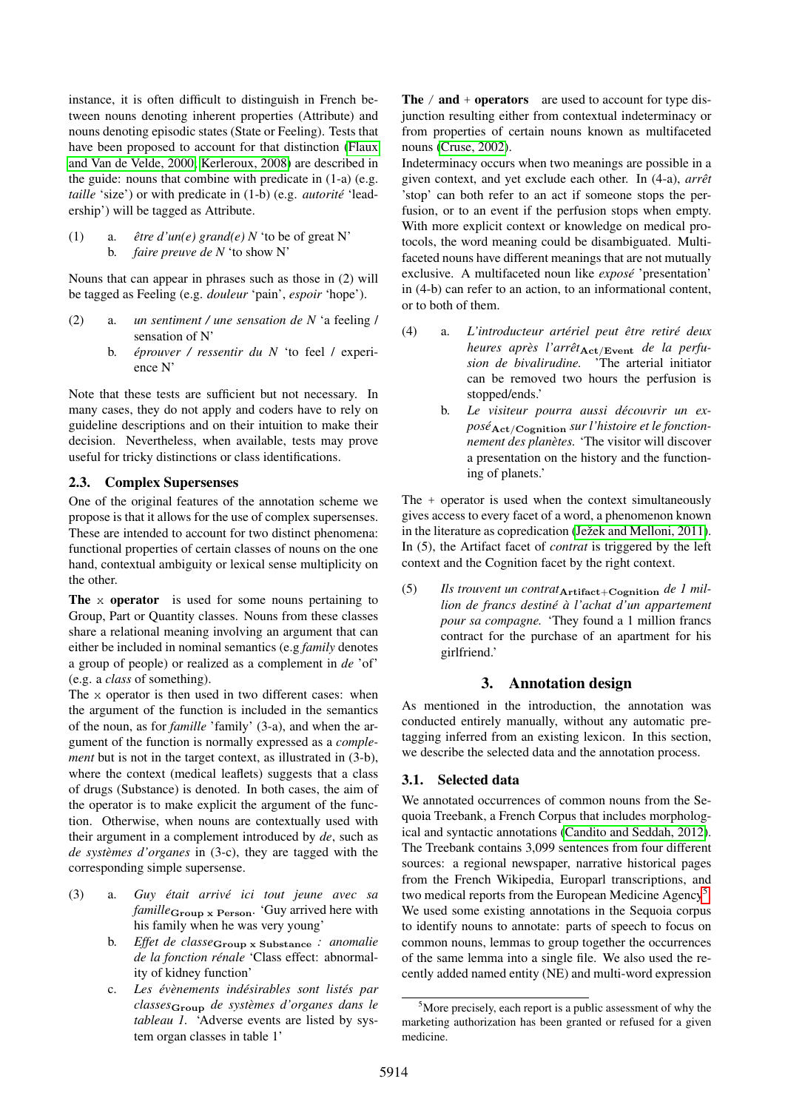instance, it is often difficult to distinguish in French between nouns denoting inherent properties (Attribute) and nouns denoting episodic states (State or Feeling). Tests that have been proposed to account for that distinction [\(Flaux](#page-5-3) [and Van de Velde, 2000;](#page-5-3) [Kerleroux, 2008\)](#page-6-11) are described in the guide: nouns that combine with predicate in (1-a) (e.g. *taille* 'size') or with predicate in (1-b) (e.g. *autorité* 'leadership') will be tagged as Attribute.

(1) a.  $\hat{e}$ *tre d'un(e)* grand(e) N 'to be of great N' b. *faire preuve de N* 'to show N'

Nouns that can appear in phrases such as those in (2) will be tagged as Feeling (e.g. *douleur* 'pain', *espoir* 'hope').

- (2) a. *un sentiment / une sensation de N* 'a feeling / sensation of N'
	- b. *eprouver / ressentir du N ´* 'to feel / experience N'

Note that these tests are sufficient but not necessary. In many cases, they do not apply and coders have to rely on guideline descriptions and on their intuition to make their decision. Nevertheless, when available, tests may prove useful for tricky distinctions or class identifications.

# <span id="page-2-1"></span>2.3. Complex Supersenses

One of the original features of the annotation scheme we propose is that it allows for the use of complex supersenses. These are intended to account for two distinct phenomena: functional properties of certain classes of nouns on the one hand, contextual ambiguity or lexical sense multiplicity on the other.

The x operator is used for some nouns pertaining to Group, Part or Quantity classes. Nouns from these classes share a relational meaning involving an argument that can either be included in nominal semantics (e.g *family* denotes a group of people) or realized as a complement in *de* 'of' (e.g. a *class* of something).

The x operator is then used in two different cases: when the argument of the function is included in the semantics of the noun, as for *famille* 'family' (3-a), and when the argument of the function is normally expressed as a *complement* but is not in the target context, as illustrated in (3-b), where the context (medical leaflets) suggests that a class of drugs (Substance) is denoted. In both cases, the aim of the operator is to make explicit the argument of the function. Otherwise, when nouns are contextually used with their argument in a complement introduced by *de*, such as *de systèmes d'organes* in (3-c), they are tagged with the corresponding simple supersense.

- (3) a. *Guy était arrivé ici tout jeune avec sa famille*<sub>Group</sub> x Person. 'Guy arrived here with his family when he was very young'
	- b. *Effet de classe*Group x Substance *: anomalie de la fonction renale ´* 'Class effect: abnormality of kidney function'
	- c. *Les ev´ enements ind ` esirables sont list ´ es par ´ classes*Group *de systemes d'organes dans le ` tableau 1.* 'Adverse events are listed by system organ classes in table 1'

The  $/$  and  $+$  operators are used to account for type disjunction resulting either from contextual indeterminacy or from properties of certain nouns known as multifaceted nouns [\(Cruse, 2002\)](#page-5-4).

Indeterminacy occurs when two meanings are possible in a given context, and yet exclude each other. In (4-a), *arrêt* 'stop' can both refer to an act if someone stops the perfusion, or to an event if the perfusion stops when empty. With more explicit context or knowledge on medical protocols, the word meaning could be disambiguated. Multifaceted nouns have different meanings that are not mutually exclusive. A multifaceted noun like *expose´* 'presentation' in (4-b) can refer to an action, to an informational content, or to both of them.

- (4) a. *L'introducteur arteriel peut ´ etre retir ˆ e deux ´ heures après l'arrêt*<sub>Act/Event</sub> *de la perfusion de bivalirudine.* 'The arterial initiator can be removed two hours the perfusion is stopped/ends.'
	- b. *Le visiteur pourra aussi decouvrir un ex- ´ pose´*Act/Cognition *sur l'histoire et le fonctionnement des planetes. `* 'The visitor will discover a presentation on the history and the functioning of planets.'

The + operator is used when the context simultaneously gives access to every facet of a word, a phenomenon known in the literature as copredication (Ježek and Melloni, 2011). In (5), the Artifact facet of *contrat* is triggered by the left context and the Cognition facet by the right context.

(5) *Ils trouvent un contrat*Artifact+Cognition *de 1 million de francs destine´ a l'achat d'un appartement ` pour sa compagne.* 'They found a 1 million francs contract for the purchase of an apartment for his girlfriend.'

# 3. Annotation design

As mentioned in the introduction, the annotation was conducted entirely manually, without any automatic pretagging inferred from an existing lexicon. In this section, we describe the selected data and the annotation process.

# 3.1. Selected data

We annotated occurrences of common nouns from the Sequoia Treebank, a French Corpus that includes morphological and syntactic annotations [\(Candito and Seddah, 2012\)](#page-5-5). The Treebank contains 3,099 sentences from four different sources: a regional newspaper, narrative historical pages from the French Wikipedia, Europarl transcriptions, and two medical reports from the European Medicine Agency<sup>[5](#page-2-0)</sup>. We used some existing annotations in the Sequoia corpus to identify nouns to annotate: parts of speech to focus on common nouns, lemmas to group together the occurrences of the same lemma into a single file. We also used the recently added named entity (NE) and multi-word expression

<span id="page-2-0"></span><sup>&</sup>lt;sup>5</sup>More precisely, each report is a public assessment of why the marketing authorization has been granted or refused for a given medicine.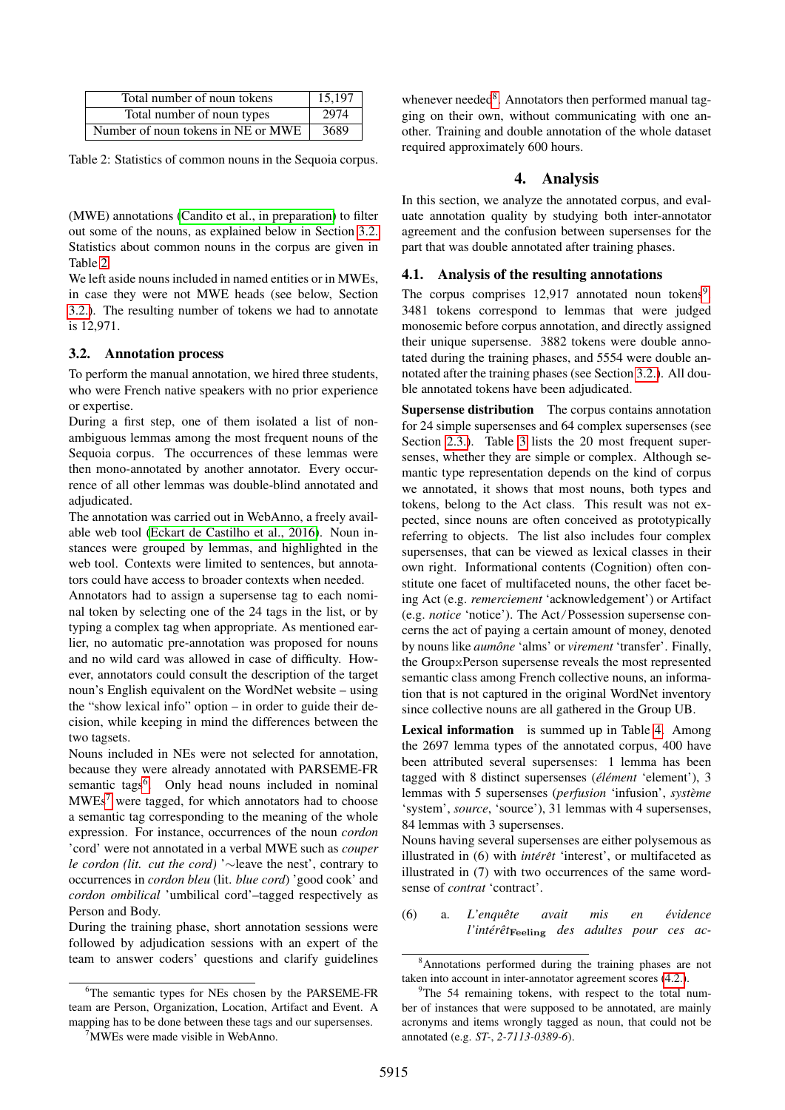| Total number of noun tokens        | 15,197 |
|------------------------------------|--------|
| Total number of noun types         | 2974   |
| Number of noun tokens in NE or MWE | 3689   |

<span id="page-3-1"></span>Table 2: Statistics of common nouns in the Sequoia corpus.

(MWE) annotations [\(Candito et al., in preparation\)](#page-5-6) to filter out some of the nouns, as explained below in Section [3.2.](#page-3-0) Statistics about common nouns in the corpus are given in Table [2.](#page-3-1)

We left aside nouns included in named entities or in MWEs, in case they were not MWE heads (see below, Section [3.2.\)](#page-3-0). The resulting number of tokens we had to annotate is 12,971.

#### <span id="page-3-0"></span>3.2. Annotation process

To perform the manual annotation, we hired three students, who were French native speakers with no prior experience or expertise.

During a first step, one of them isolated a list of nonambiguous lemmas among the most frequent nouns of the Sequoia corpus. The occurrences of these lemmas were then mono-annotated by another annotator. Every occurrence of all other lemmas was double-blind annotated and adjudicated.

The annotation was carried out in WebAnno, a freely available web tool [\(Eckart de Castilho et al., 2016\)](#page-5-7). Noun instances were grouped by lemmas, and highlighted in the web tool. Contexts were limited to sentences, but annotators could have access to broader contexts when needed.

Annotators had to assign a supersense tag to each nominal token by selecting one of the 24 tags in the list, or by typing a complex tag when appropriate. As mentioned earlier, no automatic pre-annotation was proposed for nouns and no wild card was allowed in case of difficulty. However, annotators could consult the description of the target noun's English equivalent on the WordNet website – using the "show lexical info" option – in order to guide their decision, while keeping in mind the differences between the two tagsets.

Nouns included in NEs were not selected for annotation, because they were already annotated with PARSEME-FR semantic tags<sup>[6](#page-3-2)</sup>. Only head nouns included in nominal  $MWEs<sup>7</sup>$  $MWEs<sup>7</sup>$  $MWEs<sup>7</sup>$  were tagged, for which annotators had to choose a semantic tag corresponding to the meaning of the whole expression. For instance, occurrences of the noun *cordon* 'cord' were not annotated in a verbal MWE such as *couper le cordon (lit. cut the cord)* '∼leave the nest', contrary to occurrences in *cordon bleu* (lit. *blue cord*) 'good cook' and *cordon ombilical* 'umbilical cord'–tagged respectively as Person and Body.

During the training phase, short annotation sessions were followed by adjudication sessions with an expert of the team to answer coders' questions and clarify guidelines

whenever needed<sup>[8](#page-3-4)</sup>. Annotators then performed manual tagging on their own, without communicating with one another. Training and double annotation of the whole dataset required approximately 600 hours.

#### 4. Analysis

In this section, we analyze the annotated corpus, and evaluate annotation quality by studying both inter-annotator agreement and the confusion between supersenses for the part that was double annotated after training phases.

#### 4.1. Analysis of the resulting annotations

The corpus comprises  $12,917$  $12,917$  $12,917$  annotated noun tokens<sup>9</sup>. 3481 tokens correspond to lemmas that were judged monosemic before corpus annotation, and directly assigned their unique supersense. 3882 tokens were double annotated during the training phases, and 5554 were double annotated after the training phases (see Section [3.2.\)](#page-3-0). All double annotated tokens have been adjudicated.

Supersense distribution The corpus contains annotation for 24 simple supersenses and 64 complex supersenses (see Section [2.3.\)](#page-2-1). Table [3](#page-4-1) lists the 20 most frequent supersenses, whether they are simple or complex. Although semantic type representation depends on the kind of corpus we annotated, it shows that most nouns, both types and tokens, belong to the Act class. This result was not expected, since nouns are often conceived as prototypically referring to objects. The list also includes four complex supersenses, that can be viewed as lexical classes in their own right. Informational contents (Cognition) often constitute one facet of multifaceted nouns, the other facet being Act (e.g. *remerciement* 'acknowledgement') or Artifact (e.g. *notice* 'notice'). The Act/Possession supersense concerns the act of paying a certain amount of money, denoted by nouns like *aumône* 'alms' or *virement* 'transfer'. Finally, the GroupxPerson supersense reveals the most represented semantic class among French collective nouns, an information that is not captured in the original WordNet inventory since collective nouns are all gathered in the Group UB.

Lexical information is summed up in Table [4.](#page-4-2) Among the 2697 lemma types of the annotated corpus, 400 have been attributed several supersenses: 1 lemma has been tagged with 8 distinct supersenses (élément 'element'), 3 lemmas with 5 supersenses (*perfusion* 'infusion', *systeme `* 'system', *source*, 'source'), 31 lemmas with 4 supersenses, 84 lemmas with 3 supersenses.

Nouns having several supersenses are either polysemous as illustrated in (6) with *intérêt* 'interest', or multifaceted as illustrated in (7) with two occurrences of the same wordsense of *contrat* 'contract'.

(6) a. *L'enquete avait mis en ˆ evidence ´ l'intérêt*<sub>Feeling</sub> des adultes pour ces ac-

<span id="page-3-2"></span><sup>6</sup>The semantic types for NEs chosen by the PARSEME-FR team are Person, Organization, Location, Artifact and Event. A mapping has to be done between these tags and our supersenses.

<span id="page-3-3"></span><sup>&</sup>lt;sup>7</sup>MWEs were made visible in WebAnno.

<span id="page-3-4"></span><sup>8</sup>Annotations performed during the training phases are not taken into account in inter-annotator agreement scores [\(4.2.\)](#page-4-0).

<span id="page-3-5"></span> $9^9$ The 54 remaining tokens, with respect to the total number of instances that were supposed to be annotated, are mainly acronyms and items wrongly tagged as noun, that could not be annotated (e.g. *ST-*, *2-7113-0389-6*).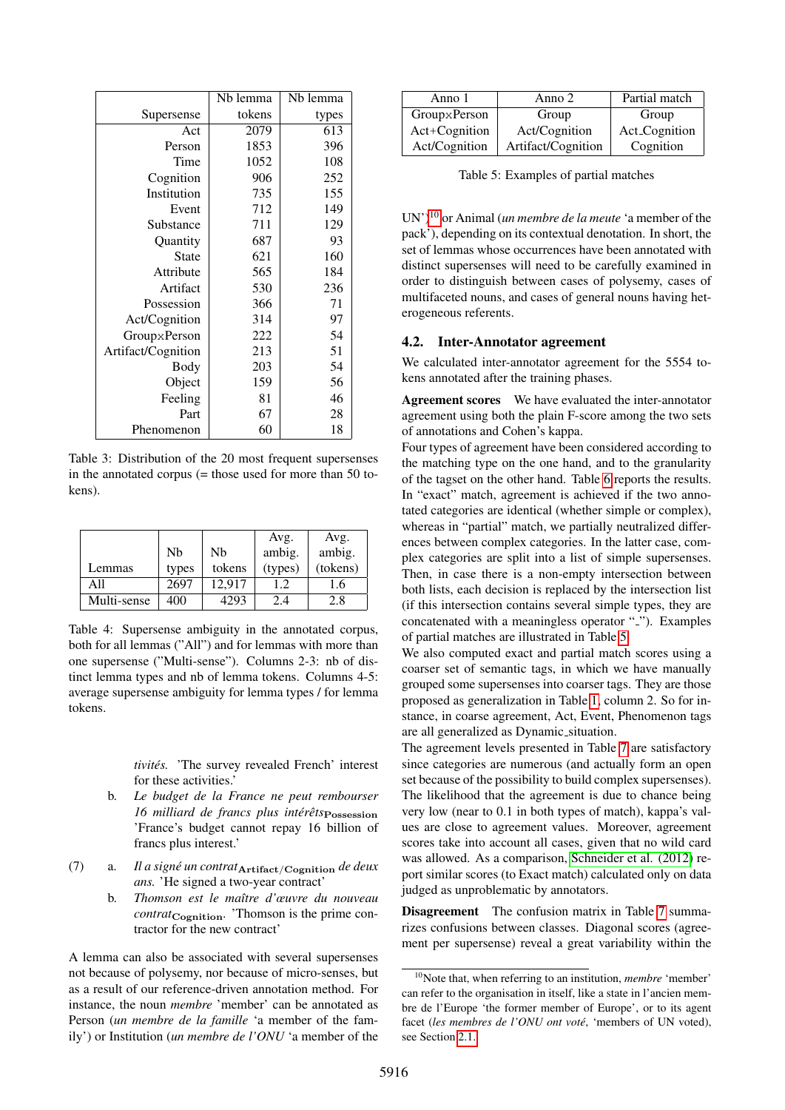|                    | Nb lemma | Nb lemma |
|--------------------|----------|----------|
| Supersense         | tokens   | types    |
| Act                | 2079     | 613      |
| Person             | 1853     | 396      |
| Time               | 1052     | 108      |
| Cognition          | 906      | 252      |
| Institution        | 735      | 155      |
| Event              | 712      | 149      |
| Substance          | 711      | 129      |
| Quantity           | 687      | 93       |
| <b>State</b>       | 621      | 160      |
| Attribute          | 565      | 184      |
| Artifact           | 530      | 236      |
| Possession         | 366      | 71       |
| Act/Cognition      | 314      | 97       |
| GroupxPerson       | 222      | 54       |
| Artifact/Cognition | 213      | 51       |
| <b>Body</b>        | 203      | 54       |
| Object             | 159      | 56       |
| Feeling            | 81       | 46       |
| Part               | 67       | 28       |
| Phenomenon         | 60       | 18       |

<span id="page-4-1"></span>Table 3: Distribution of the 20 most frequent supersenses in the annotated corpus  $(=$  those used for more than 50 tokens).

|             |                |        | Avg.    | Avg.     |
|-------------|----------------|--------|---------|----------|
|             | N <sub>b</sub> | Nb     | ambig.  | ambig.   |
| Lemmas      | types          | tokens | (types) | (tokens) |
| A11         | 2697           | 12.917 | 1.2.    | 1.6      |
| Multi-sense | 400            | 4293   | 2.4     | 2.8      |

<span id="page-4-2"></span>Table 4: Supersense ambiguity in the annotated corpus, both for all lemmas ("All") and for lemmas with more than one supersense ("Multi-sense"). Columns 2-3: nb of distinct lemma types and nb of lemma tokens. Columns 4-5: average supersense ambiguity for lemma types / for lemma tokens.

*tivites. ´* 'The survey revealed French' interest for these activities.'

- b. *Le budget de la France ne peut rembourser 16 milliard de francs plus intérêts* Possession 'France's budget cannot repay 16 billion of francs plus interest.'
- (7) a. *Il a signe un contrat ´* Artifact/Cognition *de deux ans.* 'He signed a two-year contract'
	- b. *Thomson est le maˆıtre d'œuvre du nouveau contrat*<sub>Cognition</sub>. 'Thomson is the prime contractor for the new contract'

A lemma can also be associated with several supersenses not because of polysemy, nor because of micro-senses, but as a result of our reference-driven annotation method. For instance, the noun *membre* 'member' can be annotated as Person (*un membre de la famille* 'a member of the family') or Institution (*un membre de l'ONU* 'a member of the

| Anno 1        | Anno 2             | Partial match |
|---------------|--------------------|---------------|
| GroupxPerson  | Group              | Group         |
| Act+Cognition | Act/Cognition      | Act_Cognition |
| Act/Cognition | Artifact/Cognition | Cognition     |

<span id="page-4-4"></span>Table 5: Examples of partial matches

UN')[10](#page-4-3) or Animal (*un membre de la meute* 'a member of the pack'), depending on its contextual denotation. In short, the set of lemmas whose occurrences have been annotated with distinct supersenses will need to be carefully examined in order to distinguish between cases of polysemy, cases of multifaceted nouns, and cases of general nouns having heterogeneous referents.

# <span id="page-4-0"></span>4.2. Inter-Annotator agreement

We calculated inter-annotator agreement for the 5554 tokens annotated after the training phases.

Agreement scores We have evaluated the inter-annotator agreement using both the plain F-score among the two sets of annotations and Cohen's kappa.

Four types of agreement have been considered according to the matching type on the one hand, and to the granularity of the tagset on the other hand. Table [6](#page-5-8) reports the results. In "exact" match, agreement is achieved if the two annotated categories are identical (whether simple or complex), whereas in "partial" match, we partially neutralized differences between complex categories. In the latter case, complex categories are split into a list of simple supersenses. Then, in case there is a non-empty intersection between both lists, each decision is replaced by the intersection list (if this intersection contains several simple types, they are concatenated with a meaningless operator "2"). Examples of partial matches are illustrated in Table [5.](#page-4-4)

We also computed exact and partial match scores using a coarser set of semantic tags, in which we have manually grouped some supersenses into coarser tags. They are those proposed as generalization in Table [1,](#page-1-1) column 2. So for instance, in coarse agreement, Act, Event, Phenomenon tags are all generalized as Dynamic\_situation.

The agreement levels presented in Table [7](#page-6-13) are satisfactory since categories are numerous (and actually form an open set because of the possibility to build complex supersenses). The likelihood that the agreement is due to chance being very low (near to 0.1 in both types of match), kappa's values are close to agreement values. Moreover, agreement scores take into account all cases, given that no wild card was allowed. As a comparison, [Schneider et al. \(2012\)](#page-6-7) report similar scores (to Exact match) calculated only on data judged as unproblematic by annotators.

Disagreement The confusion matrix in Table [7](#page-6-13) summarizes confusions between classes. Diagonal scores (agreement per supersense) reveal a great variability within the

<span id="page-4-3"></span><sup>10</sup>Note that, when referring to an institution, *membre* 'member' can refer to the organisation in itself, like a state in l'ancien membre de l'Europe 'the former member of Europe', or to its agent facet (les membres de l'ONU ont voté, 'members of UN voted), see Section [2.1.](#page-1-3)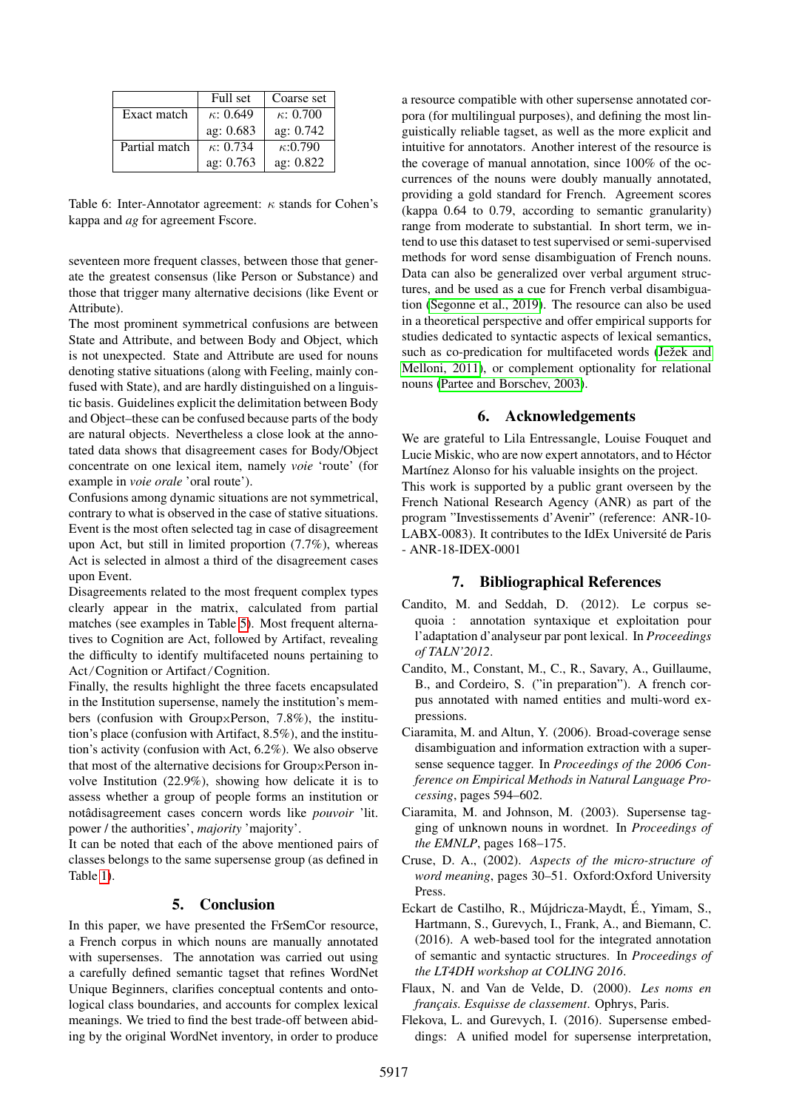|               | Full set         | Coarse set       |
|---------------|------------------|------------------|
| Exact match   | $\kappa$ : 0.649 | $\kappa$ : 0.700 |
|               | ag: 0.683        | ag: 0.742        |
| Partial match | $\kappa$ : 0.734 | $\kappa$ :0.790  |
|               | ag: 0.763        | ag: 0.822        |

<span id="page-5-8"></span>Table 6: Inter-Annotator agreement:  $\kappa$  stands for Cohen's kappa and *ag* for agreement Fscore.

seventeen more frequent classes, between those that generate the greatest consensus (like Person or Substance) and those that trigger many alternative decisions (like Event or Attribute).

The most prominent symmetrical confusions are between State and Attribute, and between Body and Object, which is not unexpected. State and Attribute are used for nouns denoting stative situations (along with Feeling, mainly confused with State), and are hardly distinguished on a linguistic basis. Guidelines explicit the delimitation between Body and Object–these can be confused because parts of the body are natural objects. Nevertheless a close look at the annotated data shows that disagreement cases for Body/Object concentrate on one lexical item, namely *voie* 'route' (for example in *voie orale* 'oral route').

Confusions among dynamic situations are not symmetrical, contrary to what is observed in the case of stative situations. Event is the most often selected tag in case of disagreement upon Act, but still in limited proportion (7.7%), whereas Act is selected in almost a third of the disagreement cases upon Event.

Disagreements related to the most frequent complex types clearly appear in the matrix, calculated from partial matches (see examples in Table [5\)](#page-4-4). Most frequent alternatives to Cognition are Act, followed by Artifact, revealing the difficulty to identify multifaceted nouns pertaining to Act/Cognition or Artifact/Cognition.

Finally, the results highlight the three facets encapsulated in the Institution supersense, namely the institution's members (confusion with GroupxPerson, 7.8%), the institution's place (confusion with Artifact, 8.5%), and the institution's activity (confusion with Act, 6.2%). We also observe that most of the alternative decisions for GroupxPerson involve Institution (22.9%), showing how delicate it is to assess whether a group of people forms an institution or notâdisagreement cases concern words like *pouvoir* 'lit. power / the authorities', *majority* 'majority'.

It can be noted that each of the above mentioned pairs of classes belongs to the same supersense group (as defined in Table [1\)](#page-1-1).

# 5. Conclusion

In this paper, we have presented the FrSemCor resource, a French corpus in which nouns are manually annotated with supersenses. The annotation was carried out using a carefully defined semantic tagset that refines WordNet Unique Beginners, clarifies conceptual contents and ontological class boundaries, and accounts for complex lexical meanings. We tried to find the best trade-off between abiding by the original WordNet inventory, in order to produce a resource compatible with other supersense annotated corpora (for multilingual purposes), and defining the most linguistically reliable tagset, as well as the more explicit and intuitive for annotators. Another interest of the resource is the coverage of manual annotation, since 100% of the occurrences of the nouns were doubly manually annotated, providing a gold standard for French. Agreement scores (kappa 0.64 to 0.79, according to semantic granularity) range from moderate to substantial. In short term, we intend to use this dataset to test supervised or semi-supervised methods for word sense disambiguation of French nouns. Data can also be generalized over verbal argument structures, and be used as a cue for French verbal disambiguation [\(Segonne et al., 2019\)](#page-6-14). The resource can also be used in a theoretical perspective and offer empirical supports for studies dedicated to syntactic aspects of lexical semantics, such as co-predication for multifaceted words (Ježek and [Melloni, 2011\)](#page-6-12), or complement optionality for relational nouns [\(Partee and Borschev, 2003\)](#page-6-15).

# 6. Acknowledgements

We are grateful to Lila Entressangle, Louise Fouquet and Lucie Miskic, who are now expert annotators, and to Hector ´ Martínez Alonso for his valuable insights on the project.

This work is supported by a public grant overseen by the French National Research Agency (ANR) as part of the program "Investissements d'Avenir" (reference: ANR-10- LABX-0083). It contributes to the IdEx Université de Paris - ANR-18-IDEX-0001

# 7. Bibliographical References

- <span id="page-5-5"></span>Candito, M. and Seddah, D. (2012). Le corpus sequoia : annotation syntaxique et exploitation pour l'adaptation d'analyseur par pont lexical. In *Proceedings of TALN'2012*.
- <span id="page-5-6"></span>Candito, M., Constant, M., C., R., Savary, A., Guillaume, B., and Cordeiro, S. ("in preparation"). A french corpus annotated with named entities and multi-word expressions.
- <span id="page-5-1"></span>Ciaramita, M. and Altun, Y. (2006). Broad-coverage sense disambiguation and information extraction with a supersense sequence tagger. In *Proceedings of the 2006 Conference on Empirical Methods in Natural Language Processing*, pages 594–602.
- <span id="page-5-0"></span>Ciaramita, M. and Johnson, M. (2003). Supersense tagging of unknown nouns in wordnet. In *Proceedings of the EMNLP*, pages 168–175.
- <span id="page-5-4"></span>Cruse, D. A., (2002). *Aspects of the micro-structure of word meaning*, pages 30–51. Oxford:Oxford University Press.
- <span id="page-5-7"></span>Eckart de Castilho, R., Mújdricza-Maydt, É., Yimam, S., Hartmann, S., Gurevych, I., Frank, A., and Biemann, C. (2016). A web-based tool for the integrated annotation of semantic and syntactic structures. In *Proceedings of the LT4DH workshop at COLING 2016*.
- <span id="page-5-3"></span>Flaux, N. and Van de Velde, D. (2000). *Les noms en franc¸ais. Esquisse de classement*. Ophrys, Paris.
- <span id="page-5-2"></span>Flekova, L. and Gurevych, I. (2016). Supersense embeddings: A unified model for supersense interpretation,